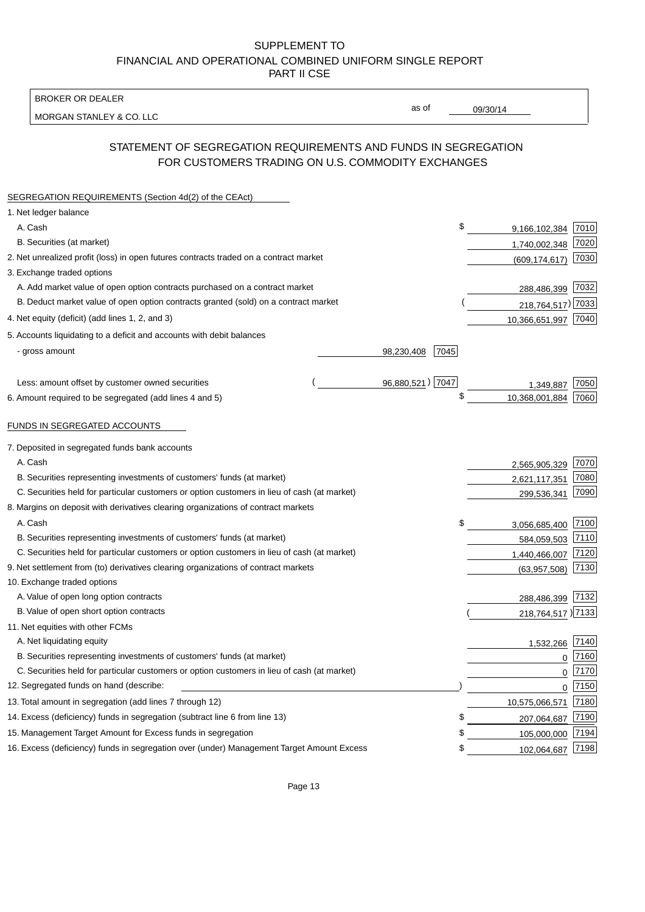BROKER OR DEALER

MORGAN STANLEY & CO. LLC

09/30/14

as of

# STATEMENT OF SEGREGATION REQUIREMENTS AND FUNDS IN SEGREGATION FOR CUSTOMERS TRADING ON U.S. COMMODITY EXCHANGES

| SEGREGATION REQUIREMENTS (Section 4d(2) of the CEAct)                                       |                    |                     |      |
|---------------------------------------------------------------------------------------------|--------------------|---------------------|------|
| 1. Net ledger balance                                                                       |                    |                     |      |
| A. Cash                                                                                     | \$                 | 9,166,102,384       | 7010 |
| B. Securities (at market)                                                                   |                    | 1,740,002,348       | 7020 |
| 2. Net unrealized profit (loss) in open futures contracts traded on a contract market       |                    | (609, 174, 617)     | 7030 |
| 3. Exchange traded options                                                                  |                    |                     |      |
| A. Add market value of open option contracts purchased on a contract market                 |                    | 288,486,399 7032    |      |
| B. Deduct market value of open option contracts granted (sold) on a contract market         |                    | 218,764,517) 7033   |      |
| 4. Net equity (deficit) (add lines 1, 2, and 3)                                             |                    | 10,366,651,997 7040 |      |
| 5. Accounts liquidating to a deficit and accounts with debit balances                       |                    |                     |      |
| - gross amount                                                                              | 98,230,408<br>7045 |                     |      |
|                                                                                             |                    |                     |      |
| Less: amount offset by customer owned securities                                            | 96,880,521) 7047   | 1.349.887           | 7050 |
| 6. Amount required to be segregated (add lines 4 and 5)                                     | \$                 | 10,368,001,884      | 7060 |
| FUNDS IN SEGREGATED ACCOUNTS                                                                |                    |                     |      |
| 7. Deposited in segregated funds bank accounts                                              |                    |                     |      |
| A. Cash                                                                                     |                    | 2,565,905,329       | 7070 |
| B. Securities representing investments of customers' funds (at market)                      |                    | 2,621,117,351       | 7080 |
| C. Securities held for particular customers or option customers in lieu of cash (at market) |                    | 299,536,341         | 7090 |
| 8. Margins on deposit with derivatives clearing organizations of contract markets           |                    |                     |      |
| A. Cash                                                                                     | \$                 | 3,056,685,400       | 7100 |
| B. Securities representing investments of customers' funds (at market)                      |                    | 584,059,503         | 7110 |
| C. Securities held for particular customers or option customers in lieu of cash (at market) |                    | 1,440,466,007       | 7120 |
| 9. Net settlement from (to) derivatives clearing organizations of contract markets          |                    | (63,957,508)        | 7130 |
| 10. Exchange traded options                                                                 |                    |                     |      |
| A. Value of open long option contracts                                                      |                    | 288,486,399 7132    |      |
| B. Value of open short option contracts                                                     |                    | 218,764,517 )7133   |      |
| 11. Net equities with other FCMs                                                            |                    |                     |      |
| A. Net liquidating equity                                                                   |                    | 1,532,266           | 7140 |
| B. Securities representing investments of customers' funds (at market)                      |                    | $\mathbf 0$         | 7160 |
| C. Securities held for particular customers or option customers in lieu of cash (at market) |                    | 0                   | 7170 |
| 12. Segregated funds on hand (describe:                                                     |                    | $\mathbf 0$         | 7150 |
| 13. Total amount in segregation (add lines 7 through 12)                                    |                    | 10,575,066,571      | 7180 |
| 14. Excess (deficiency) funds in segregation (subtract line 6 from line 13)                 | S                  | 207,064,687         | 7190 |
| 15. Management Target Amount for Excess funds in segregation                                | \$                 | 105,000,000         | 7194 |
| 16. Excess (deficiency) funds in segregation over (under) Management Target Amount Excess   | \$                 | 102,064,687 7198    |      |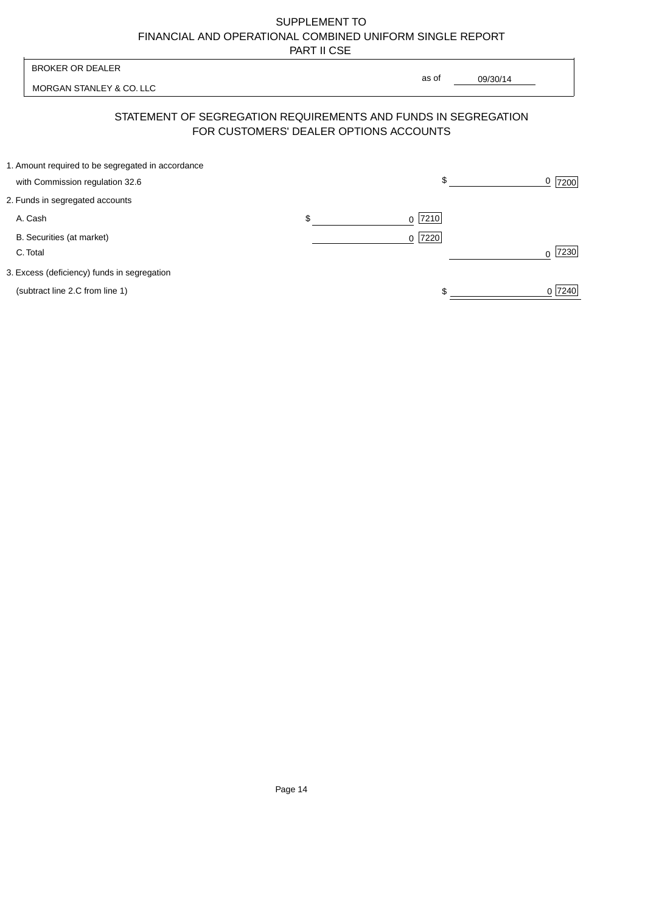| <b>BROKER OR DEALER</b>                                                              | as of                                                                                                    |           |
|--------------------------------------------------------------------------------------|----------------------------------------------------------------------------------------------------------|-----------|
| MORGAN STANLEY & CO. LLC                                                             | 09/30/14                                                                                                 |           |
|                                                                                      | STATEMENT OF SEGREGATION REQUIREMENTS AND FUNDS IN SEGREGATION<br>FOR CUSTOMERS' DEALER OPTIONS ACCOUNTS |           |
| 1. Amount required to be segregated in accordance<br>with Commission regulation 32.6 | \$                                                                                                       | 0<br>7200 |
| 2. Funds in segregated accounts                                                      |                                                                                                          |           |
| A. Cash                                                                              | \$<br>7210<br>$\Omega$                                                                                   |           |
| B. Securities (at market)<br>C. Total                                                | 0 7220                                                                                                   | 7230<br>U |
| 3. Excess (deficiency) funds in segregation                                          |                                                                                                          |           |
| (subtract line 2.C from line 1)                                                      |                                                                                                          | 0 7240    |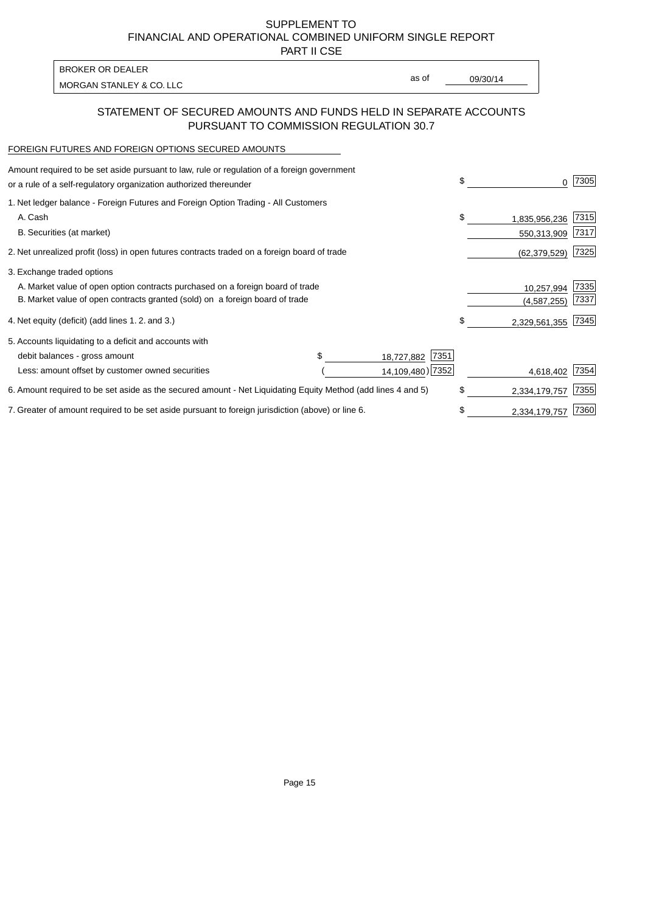PART II CSE

| <b>BROKER OR DEALER</b>  |       |          |
|--------------------------|-------|----------|
| MORGAN STANLEY & CO. LLC | as of | 09/30/14 |
|                          |       |          |

### STATEMENT OF SECURED AMOUNTS AND FUNDS HELD IN SEPARATE ACCOUNTS PURSUANT TO COMMISSION REGULATION 30.7

#### FOREIGN FUTURES AND FOREIGN OPTIONS SECURED AMOUNTS

| Amount required to be set aside pursuant to law, rule or regulation of a foreign government<br>or a rule of a self-regulatory organization authorized thereunder |  |                    | \$<br>O.            | 7305 |
|------------------------------------------------------------------------------------------------------------------------------------------------------------------|--|--------------------|---------------------|------|
| 1. Net ledger balance - Foreign Futures and Foreign Option Trading - All Customers                                                                               |  |                    |                     |      |
| A. Cash                                                                                                                                                          |  |                    | \$<br>1,835,956,236 | 7315 |
| B. Securities (at market)                                                                                                                                        |  |                    | 550,313,909         | 7317 |
| 2. Net unrealized profit (loss) in open futures contracts traded on a foreign board of trade                                                                     |  |                    | (62, 379, 529)      | 7325 |
| 3. Exchange traded options                                                                                                                                       |  |                    |                     |      |
| A. Market value of open option contracts purchased on a foreign board of trade                                                                                   |  |                    | 10,257,994          | 7335 |
| B. Market value of open contracts granted (sold) on a foreign board of trade                                                                                     |  |                    | (4,587,255)         | 7337 |
| 4. Net equity (deficit) (add lines 1.2. and 3.)                                                                                                                  |  |                    | \$<br>2,329,561,355 | 7345 |
| 5. Accounts liquidating to a deficit and accounts with                                                                                                           |  |                    |                     |      |
| debit balances - gross amount                                                                                                                                    |  | 7351<br>18,727,882 |                     |      |
| Less: amount offset by customer owned securities                                                                                                                 |  | 14,109,480) 7352   | 4,618,402           | 7354 |
| 6. Amount required to be set aside as the secured amount - Net Liquidating Equity Method (add lines 4 and 5)                                                     |  |                    | \$<br>2,334,179,757 | 7355 |
| 7. Greater of amount required to be set aside pursuant to foreign jurisdiction (above) or line 6.                                                                |  |                    | \$<br>2,334,179,757 | 7360 |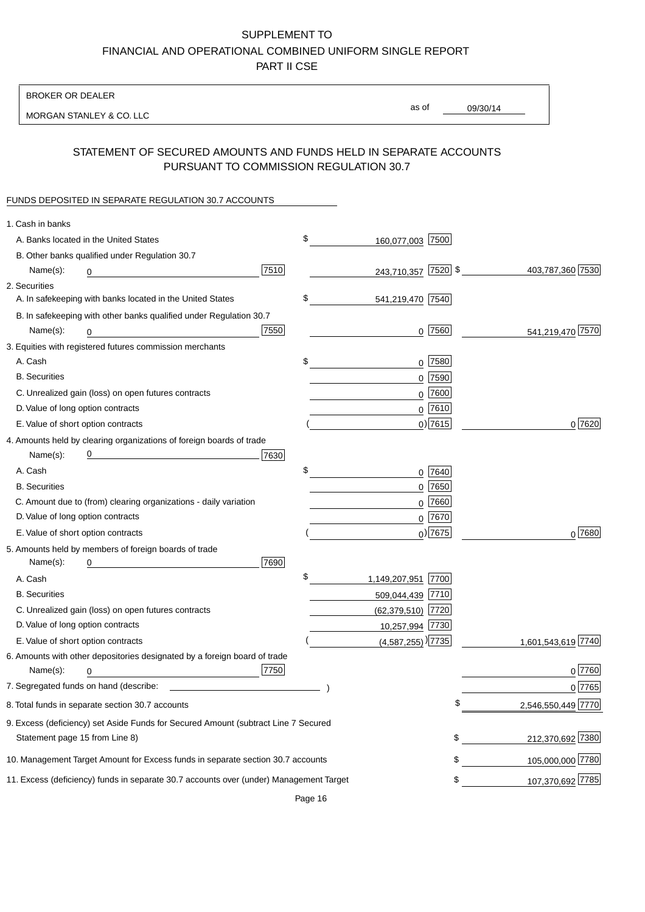BROKER OR DEALER

MORGAN STANLEY & CO. LLC

09/30/14

as of

## STATEMENT OF SECURED AMOUNTS AND FUNDS HELD IN SEPARATE ACCOUNTS PURSUANT TO COMMISSION REGULATION 30.7

#### FUNDS DEPOSITED IN SEPARATE REGULATION 30.7 ACCOUNTS

| 1. Cash in banks                  |                                                                                        |      |                                 |            |                    |
|-----------------------------------|----------------------------------------------------------------------------------------|------|---------------------------------|------------|--------------------|
|                                   | A. Banks located in the United States                                                  |      | \$<br>160,077,003 7500          |            |                    |
|                                   | B. Other banks qualified under Regulation 30.7                                         |      |                                 |            |                    |
| Name(s):                          | 0                                                                                      | 7510 | 243,710,357 7520 \$             |            | 403,787,360 7530   |
| 2. Securities                     |                                                                                        |      |                                 |            |                    |
|                                   | A. In safekeeping with banks located in the United States                              |      | \$<br>541,219,470 7540          |            |                    |
|                                   | B. In safekeeping with other banks qualified under Regulation 30.7                     |      |                                 |            |                    |
| Name(s):                          | 0                                                                                      | 7550 |                                 | $0$ 7560   | 541,219,470 7570   |
|                                   | 3. Equities with registered futures commission merchants                               |      |                                 |            |                    |
| A. Cash                           |                                                                                        |      | \$                              | $0$ 7580   |                    |
| <b>B.</b> Securities              |                                                                                        |      |                                 | $0$ 7590   |                    |
|                                   | C. Unrealized gain (loss) on open futures contracts                                    |      |                                 | $0$ 7600   |                    |
| D. Value of long option contracts |                                                                                        |      |                                 | $0$ 7610   |                    |
|                                   | E. Value of short option contracts                                                     |      |                                 | $0$ ) 7615 | 0 7620             |
|                                   | 4. Amounts held by clearing organizations of foreign boards of trade                   |      |                                 |            |                    |
| Name(s):                          | <u> 1980 - Johann Barn, mars an t-Amerikaansk kommunister (</u>                        | 7630 |                                 |            |                    |
| A. Cash                           |                                                                                        |      | \$                              | 0 7640     |                    |
| <b>B.</b> Securities              |                                                                                        |      |                                 | $0$ 7650   |                    |
|                                   | C. Amount due to (from) clearing organizations - daily variation                       |      |                                 | $0$ 7660   |                    |
| D. Value of long option contracts |                                                                                        |      |                                 | $0^{7670}$ |                    |
|                                   | E. Value of short option contracts                                                     |      |                                 | $0$ ) 7675 | 0 7680             |
|                                   | 5. Amounts held by members of foreign boards of trade                                  |      |                                 |            |                    |
| Name(s):                          | 0                                                                                      | 7690 |                                 |            |                    |
| A. Cash                           |                                                                                        |      | \$<br>1,149,207,951 7700        |            |                    |
| <b>B.</b> Securities              |                                                                                        |      | 509,044,439 7710                |            |                    |
|                                   | C. Unrealized gain (loss) on open futures contracts                                    |      | (62,379,510) 7720               |            |                    |
| D. Value of long option contracts |                                                                                        |      | 10,257,994 7730                 |            |                    |
|                                   | E. Value of short option contracts                                                     |      | $(4,587,255)$ <sup>)</sup> 7735 |            | 1,601,543,619 7740 |
|                                   | 6. Amounts with other depositories designated by a foreign board of trade              |      |                                 |            |                    |
| Name(s):                          | 0                                                                                      | 7750 |                                 |            | 0 7760             |
|                                   |                                                                                        |      |                                 |            | 0 7765             |
|                                   | 8. Total funds in separate section 30.7 accounts                                       |      |                                 | \$         | 2,546,550,449 7770 |
|                                   | 9. Excess (deficiency) set Aside Funds for Secured Amount (subtract Line 7 Secured     |      |                                 |            |                    |
| Statement page 15 from Line 8)    |                                                                                        |      |                                 | \$         | 212,370,692 7380   |
|                                   | 10. Management Target Amount for Excess funds in separate section 30.7 accounts        |      |                                 | \$         | 105,000,000 7780   |
|                                   | 11. Excess (deficiency) funds in separate 30.7 accounts over (under) Management Target |      |                                 | \$         | 107,370,692 7785   |
|                                   |                                                                                        |      |                                 |            |                    |